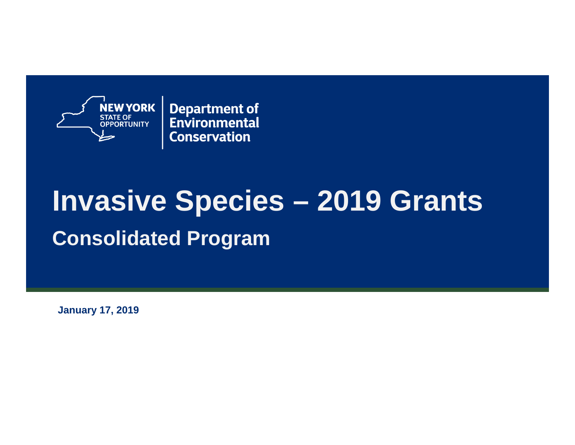

**Department of** Environmental **Conservation** 

# **Invasive Species – 2019 Grants Consolidated Program**

**January 17, 2019**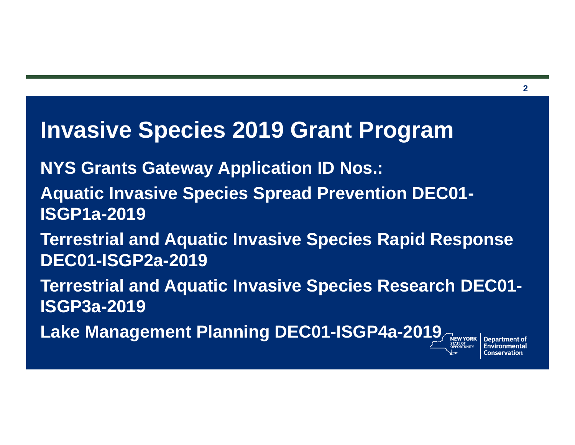#### **Invasive Species 2019 Grant Program**

**NYS Grants Gateway Application ID Nos.:**

- **Aquatic Invasive Species Spread Prevention DEC01- ISGP1a-2019**
- **Terrestrial and Aquatic Invasive Species Rapid Response DEC01-ISGP2a-2019**
- **Terrestrial and Aquatic Invasive Species Research DEC01- ISGP3a-2019**
- **Lake Management Planning DEC01-ISGP4a-2019**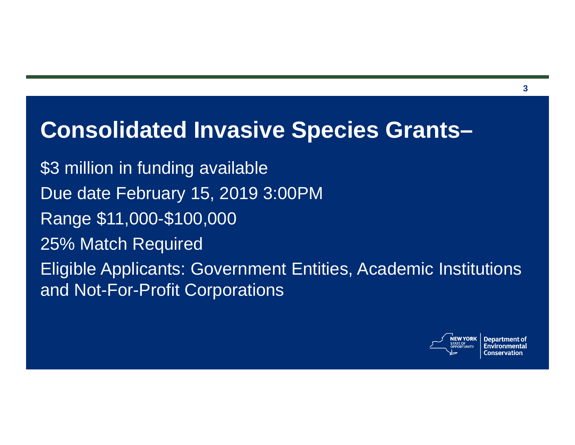### **Consolidated Invasive Species Grants–**

\$3 million in funding available Due date February 15, 2019 3:00PM Range \$11,000-\$100,000 25% Match Required Eligible Applicants: Government Entities, Academic Institutions and Not-For-Profit Corporations

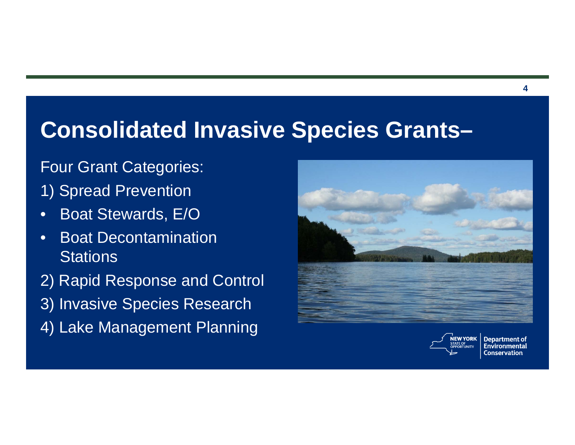### **Consolidated Invasive Species Grants–**

#### Four Grant Categories:

- 1) Spread Prevention
- •Boat Stewards, E/O
- • Boat Decontamination **Stations**
- 2) Rapid Response and Control
- 3) Invasive Species Research
- 4) Lake Management Planning





**Department of** Environmental **Conservation** 

**4**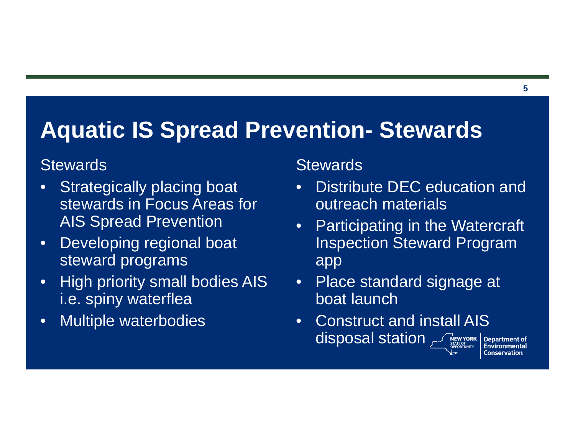## **Aquatic IS Spread Prevention- Stewards**

#### **Stewards**

- $\bullet$ Strategically placing boat stewards in Focus Areas for AIS Spread Prevention
- $\bullet$  Developing regional boat steward programs
- $\bullet$  High priority small bodies AIS i.e. spiny waterflea
- $\bullet$ Multiple waterbodies

#### **Stewards**

- • Distribute DEC education and outreach materials
- Participating in the Watercraft Inspection Steward Program app
- Place standard signage at boat launch
- • Construct and install AIS **disposal station STREWYORK**

**5**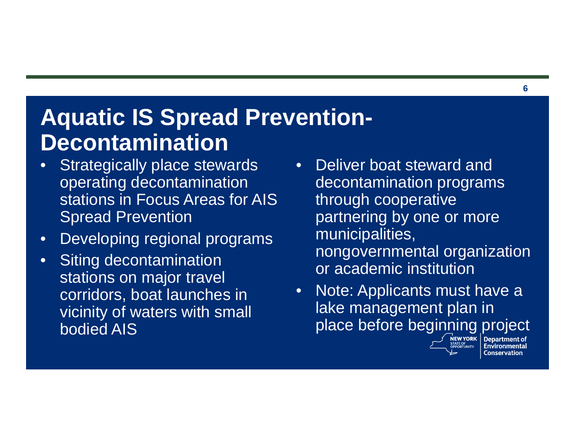# **Aquatic IS Spread Prevention-Decontamination**

- $\bullet$  Strategically place stewards operating decontamination stations in Focus Areas for AIS Spread Prevention
- $\bullet$ Developing regional programs
- • Siting decontamination stations on major travel corridors, boat launches in vicinity of waters with small bodied AIS
- Deliver boat steward and decontamination programs through cooperative partnering by one or more municipalities, nongovernmental organization or academic institution
- $\bullet$  Note: Applicants must have a lake management plan in place before beginning project



**Conservation**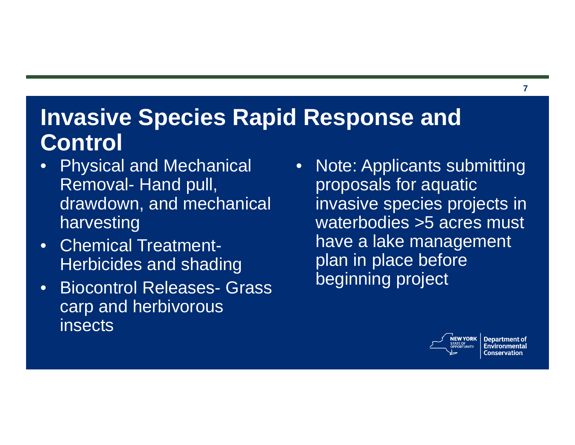# **Invasive Species Rapid Response and Control**

- $\bullet$  Physical and Mechanical Removal- Hand pull, drawdown, and mechanical harvesting
- • Chemical Treatment-Herbicides and shading
- $\bullet$  Biocontrol Releases- Grass carp and herbivorous insects
- $\bullet$  Note: Applicants submitting proposals for aquatic invasive species projects in waterbodies >5 acres must have a lake management plan in place before beginning project



**Department of** Conservation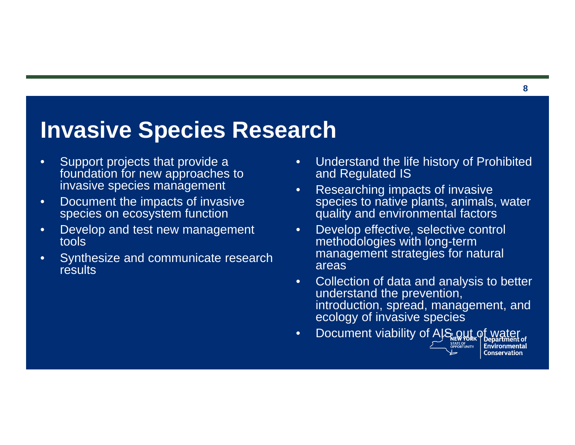### **Invasive Species Research**

- $\bullet$  Support projects that provide a foundation for new approaches to invasive species management
- $\bullet$  Document the impacts of invasive species on ecosystem function
- • Develop and test new management tools
- • Synthesize and communicate research **results**
- • Understand the life history of Prohibited and Regulated IS
- • Researching impacts of invasive species to native plants, animals, water quality and environmental factors
- $\bullet$  Develop effective, selective control methodologies with long-term management strategies for natural areas
- • Collection of data and analysis to better understand the prevention, introduction, spread, management, and ecology of invasive species
- Document viability of AIS out of water •**Environmental Conservation**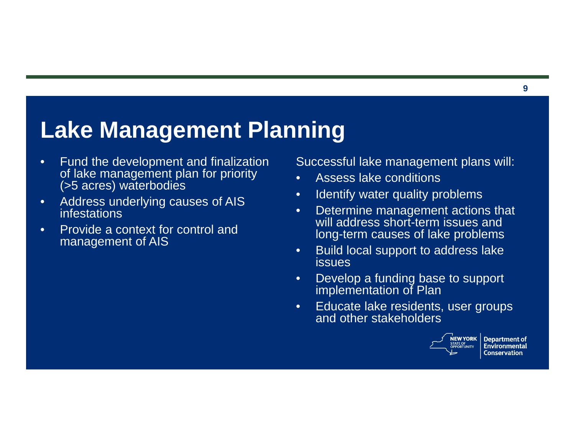# **Lake Management Planning**

- $\bullet$  Fund the development and finalization of lake management plan for priority (>5 acres) waterbodies
- $\bullet$  Address underlying causes of AIS infestations
- • Provide a context for control and management of AIS

Successful lake management plans will:

- •Assess lake conditions
- •Identify water quality problems
- • Determine management actions that will address short-term issues and long-term causes of lake problems
- • Build local support to address lake issues
- • Develop a funding base to support implementation of Plan
- • Educate lake residents, user groups and other stakeholders



**Department of** Environmental **Conservation**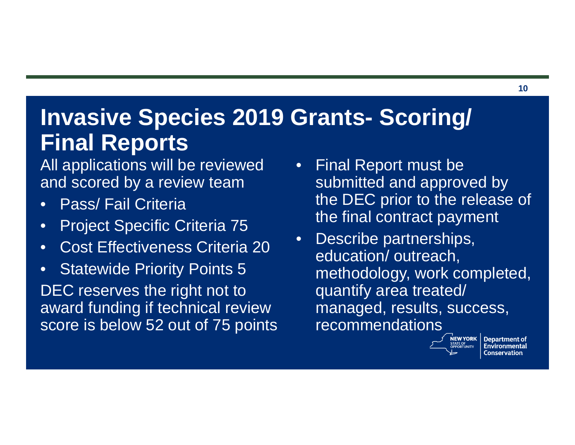# **Invasive Species 2019 Grants- Scoring/ Final Reports**

#### All applications will be reviewed and scored by a review team

- •Pass/ Fail Criteria
- $\bullet$ Project Specific Criteria 75
- $\bullet$ Cost Effectiveness Criteria 20
- $\bullet$ Statewide Priority Points 5

DEC reserves the right not to award funding if technical review score is below 52 out of 75 points

- $\bullet$  Final Report must be submitted and approved by the DEC prior to the release of the final contract payment
- • Describe partnerships, education/ outreach, methodology, work completed, quantify area treated/ managed, results, success, recommendations



**Department of** Environmental Conservation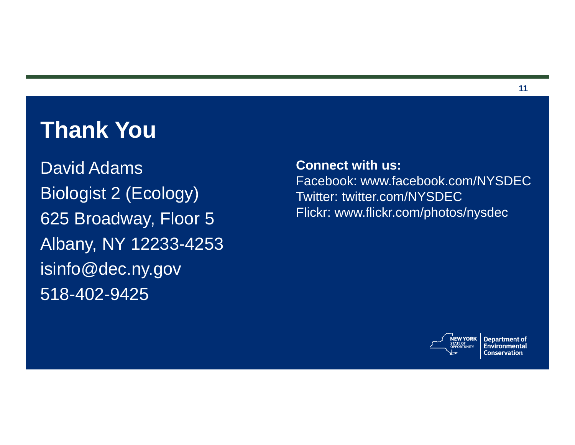### **Thank You**

David AdamsBiologist 2 (Ecology) 625 Broadway, Floor 5 Albany, NY 12233-4253 isinfo@dec.ny.gov 518-402-9425

**Connect with us:**Facebook: www.facebook.com/NYSDEC Twitter: twitter.com/NYSDECFlickr: www.flickr.com/photos/nysdec



**Department of** Environmental **Conservation**